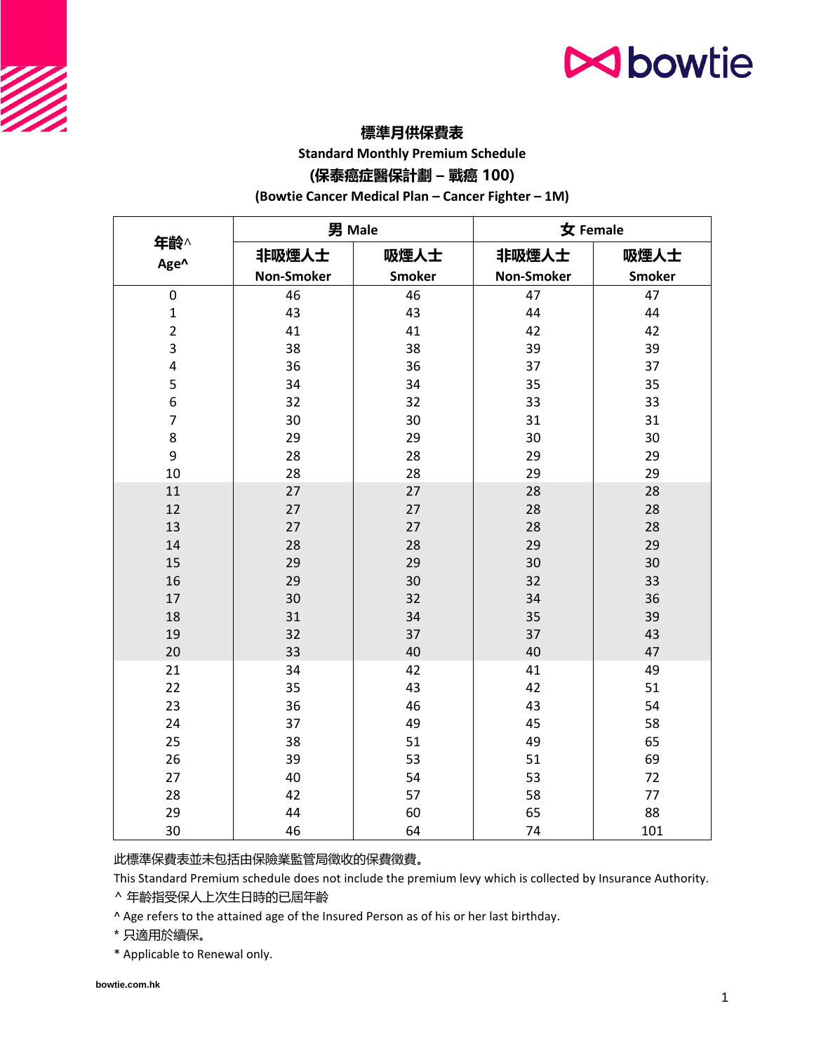## **N**bowtie

### **標準月供保費表**

**Standard Monthly Premium Schedule**

### **(保泰癌症醫保計劃 – 戰癌 100)**

**(Bowtie Cancer Medical Plan – Cancer Fighter – 1M)**

|                | 男 Male            |               | 女 Female          |               |
|----------------|-------------------|---------------|-------------------|---------------|
| 年齡^<br>Age^    | 非吸煙人士             | 吸煙人士          | 非吸煙人士             | 吸煙人士          |
|                | <b>Non-Smoker</b> | <b>Smoker</b> | <b>Non-Smoker</b> | <b>Smoker</b> |
| 0              | 46                | 46            | 47                | 47            |
| $\mathbf 1$    | 43                | 43            | 44                | 44            |
| $\overline{2}$ | 41                | 41            | 42                | 42            |
| 3              | 38                | 38            | 39                | 39            |
| 4              | 36                | 36            | 37                | 37            |
| 5              | 34                | 34            | 35                | 35            |
| 6              | 32                | 32            | 33                | 33            |
| $\overline{7}$ | 30                | 30            | 31                | 31            |
| 8              | 29                | 29            | 30                | 30            |
| 9              | 28                | 28            | 29                | 29            |
| 10             | 28                | 28            | 29                | 29            |
| 11             | 27                | 27            | 28                | 28            |
| 12             | 27                | 27            | 28                | 28            |
| 13             | 27                | 27            | 28                | 28            |
| 14             | 28                | 28            | 29                | 29            |
| 15             | 29                | 29            | 30                | 30            |
| 16             | 29                | 30            | 32                | 33            |
| 17             | 30                | 32            | 34                | 36            |
| 18             | 31                | 34            | 35                | 39            |
| 19             | 32                | 37            | 37                | 43            |
| 20             | 33                | 40            | 40                | 47            |
| 21             | 34                | 42            | 41                | 49            |
| 22             | 35                | 43            | 42                | 51            |
| 23             | 36                | 46            | 43                | 54            |
| 24             | 37                | 49            | 45                | 58            |
| 25             | 38                | 51            | 49                | 65            |
| 26             | 39                | 53            | 51                | 69            |
| 27             | 40                | 54            | 53                | 72            |
| 28             | 42                | 57            | 58                | 77            |
| 29             | 44                | 60            | 65                | 88            |
| 30             | 46                | 64            | 74                | 101           |

此標準保費表並未包括由保險業監管局徵收的保費徵費。

This Standard Premium schedule does not include the premium levy which is collected by Insurance Authority.

^ 年齡指受保人上次生日時的已屆年齡

^ Age refers to the attained age of the Insured Person as of his or her last birthday.

\* 只適用於續保。

\* Applicable to Renewal only.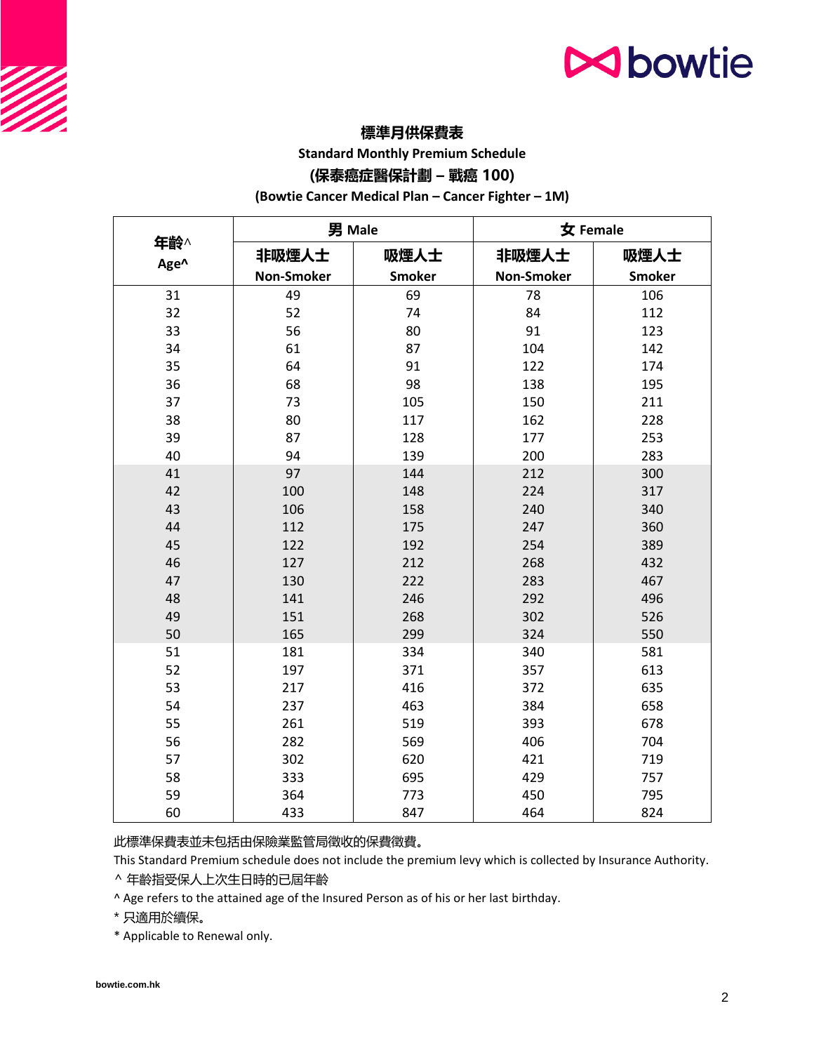## **N**bowtie

### **標準月供保費表**

**Standard Monthly Premium Schedule**

### **(保泰癌症醫保計劃 – 戰癌 100)**

**(Bowtie Cancer Medical Plan – Cancer Fighter – 1M)**

|             | 男 Male            |               | 女 Female          |               |
|-------------|-------------------|---------------|-------------------|---------------|
| 年齡^<br>Age^ | 非吸煙人士             | 吸煙人士          | 非吸煙人士             | 吸煙人士          |
|             | <b>Non-Smoker</b> | <b>Smoker</b> | <b>Non-Smoker</b> | <b>Smoker</b> |
| 31          | 49                | 69            | 78                | 106           |
| 32          | 52                | 74            | 84                | 112           |
| 33          | 56                | 80            | 91                | 123           |
| 34          | 61                | 87            | 104               | 142           |
| 35          | 64                | 91            | 122               | 174           |
| 36          | 68                | 98            | 138               | 195           |
| 37          | 73                | 105           | 150               | 211           |
| 38          | 80                | 117           | 162               | 228           |
| 39          | 87                | 128           | 177               | 253           |
| 40          | 94                | 139           | 200               | 283           |
| 41          | 97                | 144           | 212               | 300           |
| 42          | 100               | 148           | 224               | 317           |
| 43          | 106               | 158           | 240               | 340           |
| 44          | 112               | 175           | 247               | 360           |
| 45          | 122               | 192           | 254               | 389           |
| 46          | 127               | 212           | 268               | 432           |
| 47          | 130               | 222           | 283               | 467           |
| 48          | 141               | 246           | 292               | 496           |
| 49          | 151               | 268           | 302               | 526           |
| 50          | 165               | 299           | 324               | 550           |
| 51          | 181               | 334           | 340               | 581           |
| 52          | 197               | 371           | 357               | 613           |
| 53          | 217               | 416           | 372               | 635           |
| 54          | 237               | 463           | 384               | 658           |
| 55          | 261               | 519           | 393               | 678           |
| 56          | 282               | 569           | 406               | 704           |
| 57          | 302               | 620           | 421               | 719           |
| 58          | 333               | 695           | 429               | 757           |
| 59          | 364               | 773           | 450               | 795           |
| 60          | 433               | 847           | 464               | 824           |

此標準保費表並未包括由保險業監管局徵收的保費徵費。

This Standard Premium schedule does not include the premium levy which is collected by Insurance Authority.

^ 年齡指受保人上次生日時的已屆年齡

^ Age refers to the attained age of the Insured Person as of his or her last birthday.

\* 只適用於續保。

\* Applicable to Renewal only.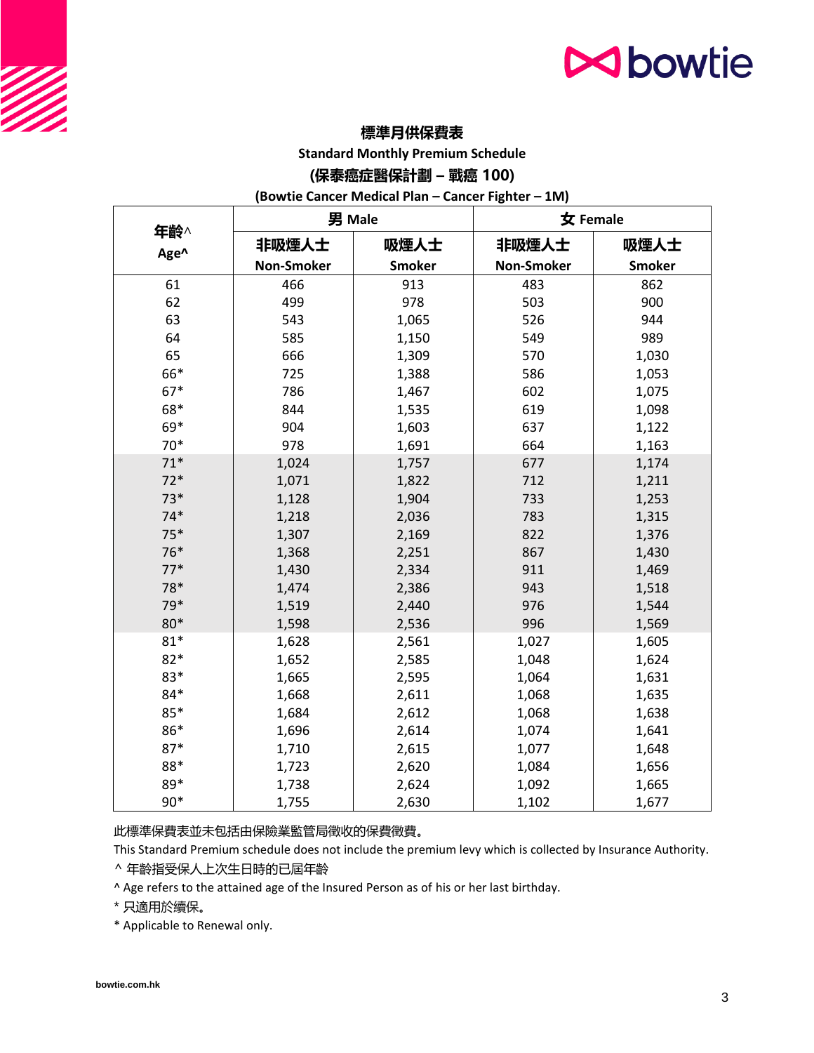# **N**bowtie

### **標準月供保費表**

**Standard Monthly Premium Schedule**

#### **(保泰癌症醫保計劃 – 戰癌 100)**

**(Bowtie Cancer Medical Plan – Cancer Fighter – 1M)**

|             | 男 Male     |               | 女 Female   |               |
|-------------|------------|---------------|------------|---------------|
| 年齡^<br>Age^ | 非吸煙人士      | 吸煙人士          | 非吸煙人士      | 吸煙人士          |
|             | Non-Smoker | <b>Smoker</b> | Non-Smoker | <b>Smoker</b> |
| 61          | 466        | 913           | 483        | 862           |
| 62          | 499        | 978           | 503        | 900           |
| 63          | 543        | 1,065         | 526        | 944           |
| 64          | 585        | 1,150         | 549        | 989           |
| 65          | 666        | 1,309         | 570        | 1,030         |
| 66*         | 725        | 1,388         | 586        | 1,053         |
| $67*$       | 786        | 1,467         | 602        | 1,075         |
| 68*         | 844        | 1,535         | 619        | 1,098         |
| 69*         | 904        | 1,603         | 637        | 1,122         |
| $70*$       | 978        | 1,691         | 664        | 1,163         |
| $71*$       | 1,024      | 1,757         | 677        | 1,174         |
| $72*$       | 1,071      | 1,822         | 712        | 1,211         |
| $73*$       | 1,128      | 1,904         | 733        | 1,253         |
| $74*$       | 1,218      | 2,036         | 783        | 1,315         |
| $75*$       | 1,307      | 2,169         | 822        | 1,376         |
| 76*         | 1,368      | 2,251         | 867        | 1,430         |
| $77*$       | 1,430      | 2,334         | 911        | 1,469         |
| 78*         | 1,474      | 2,386         | 943        | 1,518         |
| 79*         | 1,519      | 2,440         | 976        | 1,544         |
| 80*         | 1,598      | 2,536         | 996        | 1,569         |
| $81*$       | 1,628      | 2,561         | 1,027      | 1,605         |
| $82*$       | 1,652      | 2,585         | 1,048      | 1,624         |
| 83*         | 1,665      | 2,595         | 1,064      | 1,631         |
| 84*         | 1,668      | 2,611         | 1,068      | 1,635         |
| 85*         | 1,684      | 2,612         | 1,068      | 1,638         |
| 86*         | 1,696      | 2,614         | 1,074      | 1,641         |
| $87*$       | 1,710      | 2,615         | 1,077      | 1,648         |
| 88*         | 1,723      | 2,620         | 1,084      | 1,656         |
| 89*         | 1,738      | 2,624         | 1,092      | 1,665         |
| $90*$       | 1,755      | 2,630         | 1,102      | 1,677         |

此標準保費表並未包括由保險業監管局徵收的保費徵費。

This Standard Premium schedule does not include the premium levy which is collected by Insurance Authority.

^ 年齡指受保人上次生日時的已屆年齡

^ Age refers to the attained age of the Insured Person as of his or her last birthday.

\* 只適用於續保。

\* Applicable to Renewal only.